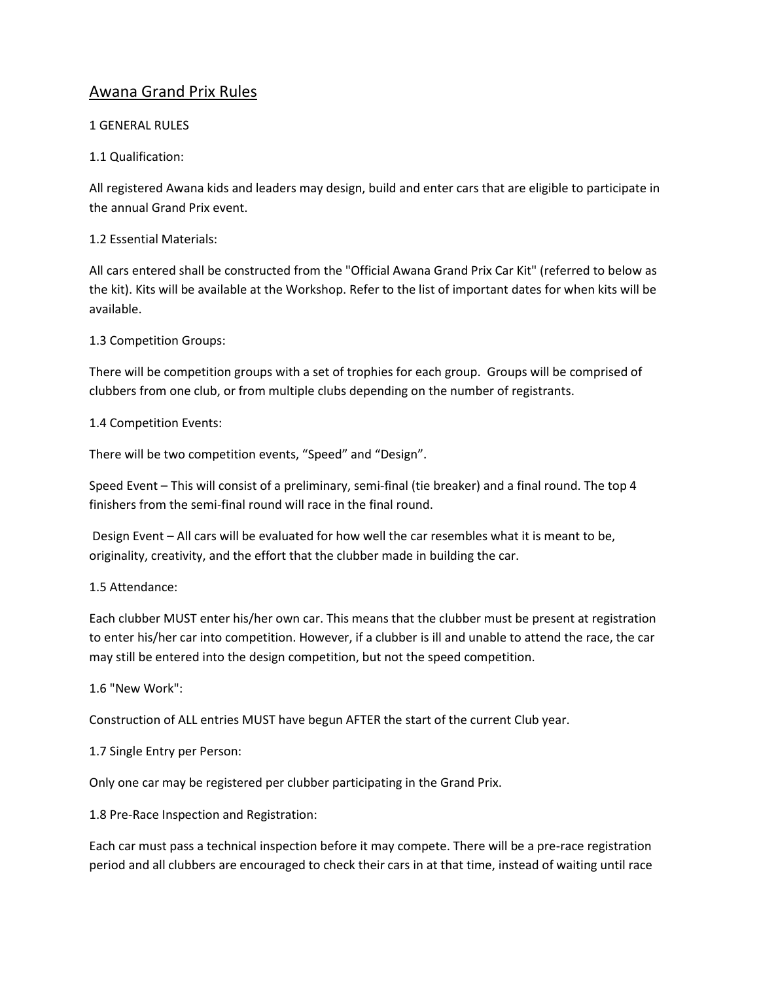# Awana Grand Prix Rules

### 1 GENERAL RULES

# 1.1 Qualification:

All registered Awana kids and leaders may design, build and enter cars that are eligible to participate in the annual Grand Prix event.

### 1.2 Essential Materials:

All cars entered shall be constructed from the "Official Awana Grand Prix Car Kit" (referred to below as the kit). Kits will be available at the Workshop. Refer to the list of important dates for when kits will be available.

### 1.3 Competition Groups:

There will be competition groups with a set of trophies for each group. Groups will be comprised of clubbers from one club, or from multiple clubs depending on the number of registrants.

### 1.4 Competition Events:

There will be two competition events, "Speed" and "Design".

Speed Event – This will consist of a preliminary, semi-final (tie breaker) and a final round. The top 4 finishers from the semi-final round will race in the final round.

Design Event – All cars will be evaluated for how well the car resembles what it is meant to be, originality, creativity, and the effort that the clubber made in building the car.

#### 1.5 Attendance:

Each clubber MUST enter his/her own car. This means that the clubber must be present at registration to enter his/her car into competition. However, if a clubber is ill and unable to attend the race, the car may still be entered into the design competition, but not the speed competition.

# 1.6 "New Work":

Construction of ALL entries MUST have begun AFTER the start of the current Club year.

# 1.7 Single Entry per Person:

Only one car may be registered per clubber participating in the Grand Prix.

1.8 Pre-Race Inspection and Registration:

Each car must pass a technical inspection before it may compete. There will be a pre-race registration period and all clubbers are encouraged to check their cars in at that time, instead of waiting until race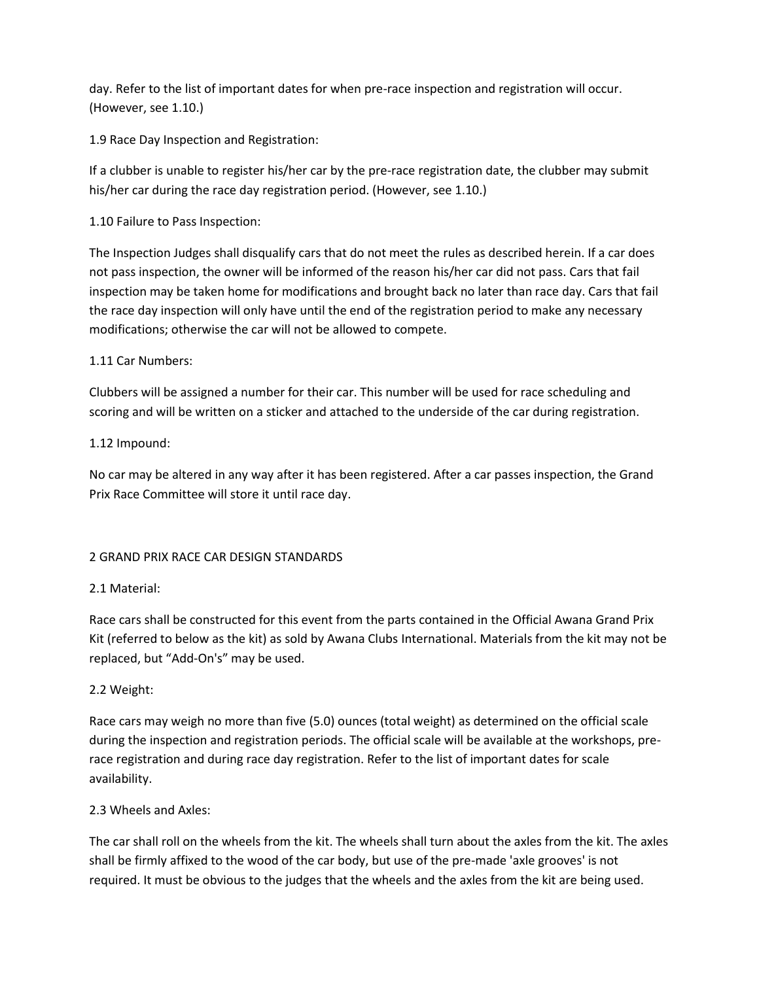day. Refer to the list of important dates for when pre-race inspection and registration will occur. (However, see 1.10.)

1.9 Race Day Inspection and Registration:

If a clubber is unable to register his/her car by the pre-race registration date, the clubber may submit his/her car during the race day registration period. (However, see 1.10.)

1.10 Failure to Pass Inspection:

The Inspection Judges shall disqualify cars that do not meet the rules as described herein. If a car does not pass inspection, the owner will be informed of the reason his/her car did not pass. Cars that fail inspection may be taken home for modifications and brought back no later than race day. Cars that fail the race day inspection will only have until the end of the registration period to make any necessary modifications; otherwise the car will not be allowed to compete.

# 1.11 Car Numbers:

Clubbers will be assigned a number for their car. This number will be used for race scheduling and scoring and will be written on a sticker and attached to the underside of the car during registration.

# 1.12 Impound:

No car may be altered in any way after it has been registered. After a car passes inspection, the Grand Prix Race Committee will store it until race day.

# 2 GRAND PRIX RACE CAR DESIGN STANDARDS

# 2.1 Material:

Race cars shall be constructed for this event from the parts contained in the Official Awana Grand Prix Kit (referred to below as the kit) as sold by Awana Clubs International. Materials from the kit may not be replaced, but "Add-On's" may be used.

# 2.2 Weight:

Race cars may weigh no more than five (5.0) ounces (total weight) as determined on the official scale during the inspection and registration periods. The official scale will be available at the workshops, prerace registration and during race day registration. Refer to the list of important dates for scale availability.

# 2.3 Wheels and Axles:

The car shall roll on the wheels from the kit. The wheels shall turn about the axles from the kit. The axles shall be firmly affixed to the wood of the car body, but use of the pre-made 'axle grooves' is not required. It must be obvious to the judges that the wheels and the axles from the kit are being used.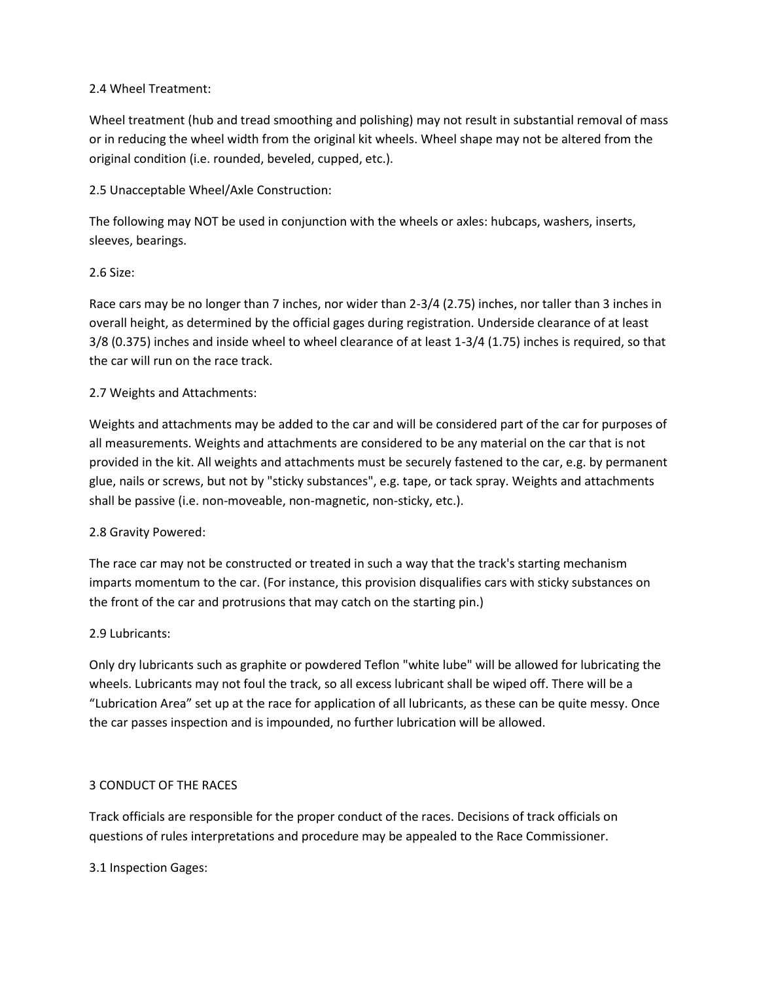#### 2.4 Wheel Treatment:

Wheel treatment (hub and tread smoothing and polishing) may not result in substantial removal of mass or in reducing the wheel width from the original kit wheels. Wheel shape may not be altered from the original condition (i.e. rounded, beveled, cupped, etc.).

2.5 Unacceptable Wheel/Axle Construction:

The following may NOT be used in conjunction with the wheels or axles: hubcaps, washers, inserts, sleeves, bearings.

### 2.6 Size:

Race cars may be no longer than 7 inches, nor wider than 2-3/4 (2.75) inches, nor taller than 3 inches in overall height, as determined by the official gages during registration. Underside clearance of at least 3/8 (0.375) inches and inside wheel to wheel clearance of at least 1-3/4 (1.75) inches is required, so that the car will run on the race track.

### 2.7 Weights and Attachments:

Weights and attachments may be added to the car and will be considered part of the car for purposes of all measurements. Weights and attachments are considered to be any material on the car that is not provided in the kit. All weights and attachments must be securely fastened to the car, e.g. by permanent glue, nails or screws, but not by "sticky substances", e.g. tape, or tack spray. Weights and attachments shall be passive (i.e. non-moveable, non-magnetic, non-sticky, etc.).

#### 2.8 Gravity Powered:

The race car may not be constructed or treated in such a way that the track's starting mechanism imparts momentum to the car. (For instance, this provision disqualifies cars with sticky substances on the front of the car and protrusions that may catch on the starting pin.)

#### 2.9 Lubricants:

Only dry lubricants such as graphite or powdered Teflon "white lube" will be allowed for lubricating the wheels. Lubricants may not foul the track, so all excess lubricant shall be wiped off. There will be a "Lubrication Area" set up at the race for application of all lubricants, as these can be quite messy. Once the car passes inspection and is impounded, no further lubrication will be allowed.

#### 3 CONDUCT OF THE RACES

Track officials are responsible for the proper conduct of the races. Decisions of track officials on questions of rules interpretations and procedure may be appealed to the Race Commissioner.

3.1 Inspection Gages: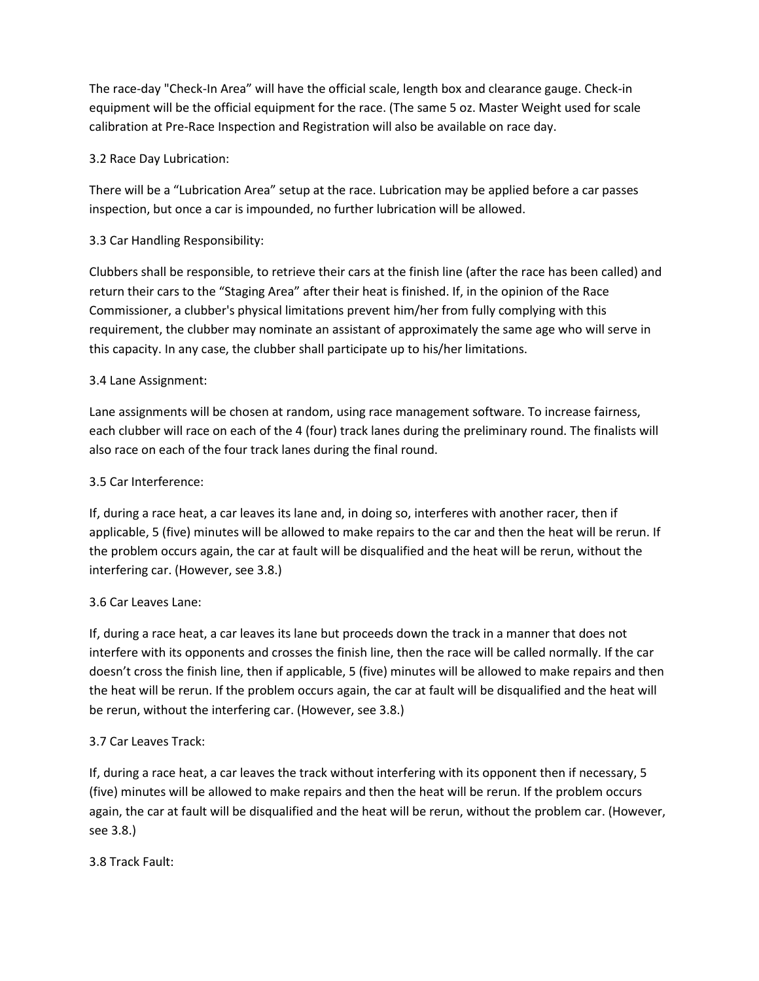The race-day "Check-In Area" will have the official scale, length box and clearance gauge. Check-in equipment will be the official equipment for the race. (The same 5 oz. Master Weight used for scale calibration at Pre-Race Inspection and Registration will also be available on race day.

# 3.2 Race Day Lubrication:

There will be a "Lubrication Area" setup at the race. Lubrication may be applied before a car passes inspection, but once a car is impounded, no further lubrication will be allowed.

# 3.3 Car Handling Responsibility:

Clubbers shall be responsible, to retrieve their cars at the finish line (after the race has been called) and return their cars to the "Staging Area" after their heat is finished. If, in the opinion of the Race Commissioner, a clubber's physical limitations prevent him/her from fully complying with this requirement, the clubber may nominate an assistant of approximately the same age who will serve in this capacity. In any case, the clubber shall participate up to his/her limitations.

# 3.4 Lane Assignment:

Lane assignments will be chosen at random, using race management software. To increase fairness, each clubber will race on each of the 4 (four) track lanes during the preliminary round. The finalists will also race on each of the four track lanes during the final round.

### 3.5 Car Interference:

If, during a race heat, a car leaves its lane and, in doing so, interferes with another racer, then if applicable, 5 (five) minutes will be allowed to make repairs to the car and then the heat will be rerun. If the problem occurs again, the car at fault will be disqualified and the heat will be rerun, without the interfering car. (However, see 3.8.)

# 3.6 Car Leaves Lane:

If, during a race heat, a car leaves its lane but proceeds down the track in a manner that does not interfere with its opponents and crosses the finish line, then the race will be called normally. If the car doesn't cross the finish line, then if applicable, 5 (five) minutes will be allowed to make repairs and then the heat will be rerun. If the problem occurs again, the car at fault will be disqualified and the heat will be rerun, without the interfering car. (However, see 3.8.)

# 3.7 Car Leaves Track:

If, during a race heat, a car leaves the track without interfering with its opponent then if necessary, 5 (five) minutes will be allowed to make repairs and then the heat will be rerun. If the problem occurs again, the car at fault will be disqualified and the heat will be rerun, without the problem car. (However, see 3.8.)

# 3.8 Track Fault: